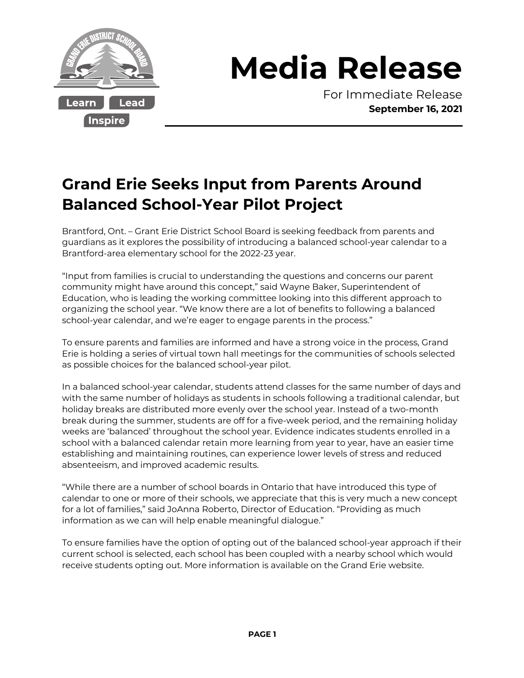

## **Media Release**

For Immediate Release **September 16, 2021**

## **Grand Erie Seeks Input from Parents Around Balanced School-Year Pilot Project**

Brantford, Ont. – Grant Erie District School Board is seeking feedback from parents and guardians as it explores the possibility of introducing a balanced school-year calendar to a Brantford-area elementary school for the 2022-23 year.

"Input from families is crucial to understanding the questions and concerns our parent community might have around this concept," said Wayne Baker, Superintendent of Education, who is leading the working committee looking into this different approach to organizing the school year. "We know there are a lot of benefits to following a balanced school-year calendar, and we're eager to engage parents in the process."

To ensure parents and families are informed and have a strong voice in the process, Grand Erie is holding a series of virtual town hall meetings for the communities of schools selected as possible choices for the balanced school-year pilot.

In a balanced school-year calendar, students attend classes for the same number of days and with the same number of holidays as students in schools following a traditional calendar, but holiday breaks are distributed more evenly over the school year. Instead of a two-month break during the summer, students are off for a five-week period, and the remaining holiday weeks are 'balanced' throughout the school year. Evidence indicates students enrolled in a school with a balanced calendar retain more learning from year to year, have an easier time establishing and maintaining routines, can experience lower levels of stress and reduced absenteeism, and improved academic results.

"While there are a number of school boards in Ontario that have introduced this type of calendar to one or more of their schools, we appreciate that this is very much a new concept for a lot of families," said JoAnna Roberto, Director of Education. "Providing as much information as we can will help enable meaningful dialogue."

To ensure families have the option of opting out of the balanced school-year approach if their current school is selected, each school has been coupled with a nearby school which would receive students opting out. More information is available on the Grand Erie website.